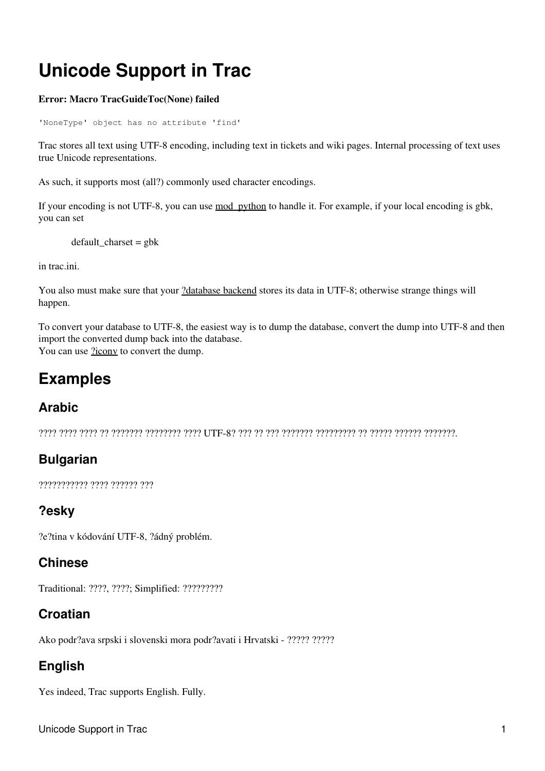# **Unicode Support in Trac**

#### **Error: Macro TracGuideToc(None) failed**

'NoneType' object has no attribute 'find'

Trac stores all text using UTF-8 encoding, including text in tickets and wiki pages. Internal processing of text uses true Unicode representations.

As such, it supports most (all?) commonly used character encodings.

If your encoding is not UTF-8, you can use mod python to handle it. For example, if your local encoding is gbk, you can set

default\_charset = gbk

in trac.ini.

You also must make sure that your [?database backend](http://trac.edgewall.org/intertrac/DatabaseBackend) stores its data in UTF-8; otherwise strange things will happen.

To convert your database to UTF-8, the easiest way is to dump the database, convert the dump into UTF-8 and then import the converted dump back into the database. You can use  $2i$ conv to convert the dump.

# **Examples**

#### **Arabic**

???? ???? ???? ?? ??????? ???????? ???? UTF-8? ??? ?? ??? ??????? ????????? ?? ????? ?????? ???????.

#### **Bulgarian**

??????????? ???? ?????? ???

#### **?esky**

?e?tina v kódování UTF-8, ?ádný problém.

#### **Chinese**

Traditional: ????, ????; Simplified: ?????????

#### **Croatian**

Ako podr?ava srpski i slovenski mora podr?avati i Hrvatski - ????? ?????

#### **English**

Yes indeed, Trac supports English. Fully.

Unicode Support in Trac 1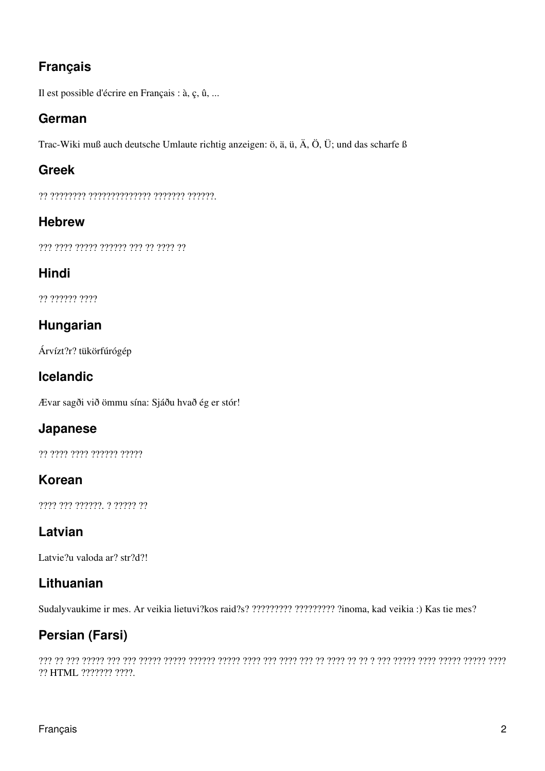# **Français**

Il est possible d'écrire en Français : à, ç, û, ...

#### **German**

Trac-Wiki muß auch deutsche Umlaute richtig anzeigen: ö, ä, ü, Ä, Ö, Ü; und das scharfe ß

# **Greek**

?? ???????? ?????????????? ??????? ??????.

### **Hebrew**

??? ???? ????? ?????? ??? ?? ???? ??

# **Hindi**

?? ?????? ????

# **Hungarian**

Árvízt?r? tükörfúrógép

# **Icelandic**

Ævar sagði við ömmu sína: Sjáðu hvað ég er stór!

#### **Japanese**

?? ???? ???? ?????? ?????

# **Korean**

???? ??? ??????. ? ????? ??

# **Latvian**

Latvie?u valoda ar? str?d?!

# **Lithuanian**

Sudalyvaukime ir mes. Ar veikia lietuvi?kos raid?s? ????????? ????????? ?inoma, kad veikia :) Kas tie mes?

# **Persian (Farsi)**

??? ?? ??? ????? ??? ??? ????? ????? ?????? ????? ???? ??? ???? ??? ?? ???? ?? ?? ? ??? ????? ???? ????? ????? ???? ?? HTML ??????? ????.